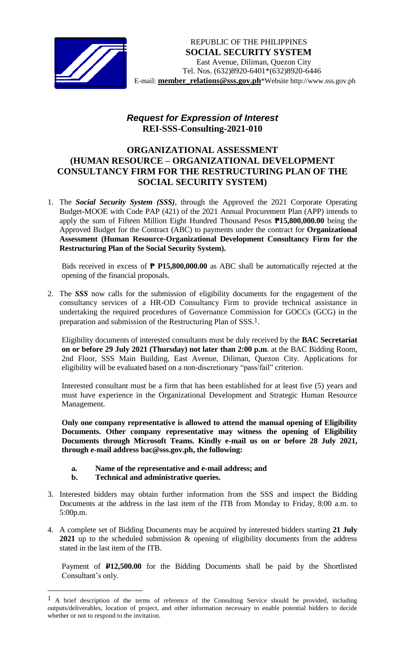

## *Request for Expression of Interest*  **REI-SSS-Consulting-2021-010**

## **ORGANIZATIONAL ASSESSMENT (HUMAN RESOURCE – ORGANIZATIONAL DEVELOPMENT CONSULTANCY FIRM FOR THE RESTRUCTURING PLAN OF THE SOCIAL SECURITY SYSTEM)**

1. The *Social Security System (SSS)*, through the Approved the 2021 Corporate Operating Budget-MOOE with Code PAP (421) of the 2021 Annual Procurement Plan (APP) intends to apply the sum of Fifteen Million Eight Hundred Thousand Pesos **₱15,800,000.00** being the Approved Budget for the Contract (ABC) to payments under the contract for **Organizational Assessment (Human Resource-Organizational Development Consultancy Firm for the Restructuring Plan of the Social Security System).**

Bids received in excess of **₱ P15,800,000.00** as ABC shall be automatically rejected at the opening of the financial proposals.

2. The *SSS* now calls for the submission of eligibility documents for the engagement of the consultancy services of a HR-OD Consultancy Firm to provide technical assistance in undertaking the required procedures of Governance Commission for GOCCs (GCG) in the preparation and submission of the Restructuring Plan of SSS*.* 1.

Eligibility documents of interested consultants must be duly received by the **BAC Secretariat on or before 29 July 2021 (Thursday) not later than 2:00 p.m**. at the BAC Bidding Room, 2nd Floor, SSS Main Building, East Avenue, Diliman, Quezon City. Applications for eligibility will be evaluated based on a non-discretionary "pass/fail" criterion.

Interested consultant must be a firm that has been established for at least five (5) years and must have experience in the Organizational Development and Strategic Human Resource Management.

**Only one company representative is allowed to attend the manual opening of Eligibility Documents. Other company representative may witness the opening of Eligibility Documents through Microsoft Teams. Kindly e-mail us on or before 28 July 2021, through e-mail address bac@sss.gov.ph, the following:**

- **a. Name of the representative and e-mail address; and**
- **b. Technical and administrative queries.**

 $\overline{a}$ 

- 3. Interested bidders may obtain further information from the SSS and inspect the Bidding Documents at the address in the last item of the ITB from Monday to Friday, 8:00 a.m. to 5:00p.m.
- 4. A complete set of Bidding Documents may be acquired by interested bidders starting **21 July 2021** up to the scheduled submission & opening of eligibility documents from the address stated in the last item of the ITB.

Payment of **P12,500.00** for the Bidding Documents shall be paid by the Shortlisted Consultant's only.

<sup>1</sup> A brief description of the terms of reference of the Consulting Service should be provided, including outputs/deliverables, location of project, and other information necessary to enable potential bidders to decide whether or not to respond to the invitation.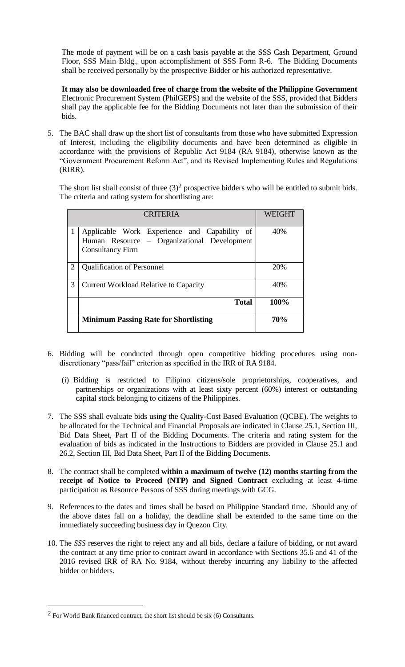The mode of payment will be on a cash basis payable at the SSS Cash Department, Ground Floor, SSS Main Bldg., upon accomplishment of SSS Form R-6. The Bidding Documents shall be received personally by the prospective Bidder or his authorized representative.

**It may also be downloaded free of charge from the website of the Philippine Government** Electronic Procurement System (PhilGEPS) and the website of the SSS*,* provided that Bidders shall pay the applicable fee for the Bidding Documents not later than the submission of their bids.

5. The BAC shall draw up the short list of consultants from those who have submitted Expression of Interest, including the eligibility documents and have been determined as eligible in accordance with the provisions of Republic Act 9184 (RA 9184), otherwise known as the "Government Procurement Reform Act", and its Revised Implementing Rules and Regulations (RIRR).

The short list shall consist of three  $(3)^2$  prospective bidders who will be entitled to submit bids. The criteria and rating system for shortlisting are:

| <b>CRITERIA</b> |                                                                                                                        | WEIGHT     |
|-----------------|------------------------------------------------------------------------------------------------------------------------|------------|
|                 | Applicable Work Experience and Capability of<br>Human Resource - Organizational Development<br><b>Consultancy Firm</b> | 40%        |
| $\mathcal{D}$   | <b>Qualification of Personnel</b>                                                                                      | 20%        |
| 3               | <b>Current Workload Relative to Capacity</b>                                                                           | 40%        |
|                 | <b>Total</b>                                                                                                           | 100%       |
|                 | <b>Minimum Passing Rate for Shortlisting</b>                                                                           | <b>70%</b> |

- 6. Bidding will be conducted through open competitive bidding procedures using nondiscretionary "pass/fail" criterion as specified in the IRR of RA 9184.
	- (i) Bidding is restricted to Filipino citizens/sole proprietorships, cooperatives, and partnerships or organizations with at least sixty percent (60%) interest or outstanding capital stock belonging to citizens of the Philippines.
- 7. The SSS shall evaluate bids using the Quality-Cost Based Evaluation (QCBE). The weights to be allocated for the Technical and Financial Proposals are indicated in Clause 25.1, Section III, Bid Data Sheet, Part II of the Bidding Documents. The criteria and rating system for the evaluation of bids as indicated in the Instructions to Bidders are provided in Clause 25.1 and 26.2, Section III, Bid Data Sheet, Part II of the Bidding Documents.
- 8. The contract shall be completed **within a maximum of twelve (12) months starting from the receipt of Notice to Proceed (NTP) and Signed Contract** excluding at least 4-time participation as Resource Persons of SSS during meetings with GCG.
- 9. References to the dates and times shall be based on Philippine Standard time. Should any of the above dates fall on a holiday, the deadline shall be extended to the same time on the immediately succeeding business day in Quezon City.
- 10. The *SSS* reserves the right to reject any and all bids, declare a failure of bidding, or not award the contract at any time prior to contract award in accordance with Sections 35.6 and 41 of the 2016 revised IRR of RA No. 9184, without thereby incurring any liability to the affected bidder or bidders.

 $\overline{a}$ 

 $2$  For World Bank financed contract, the short list should be six (6) Consultants.